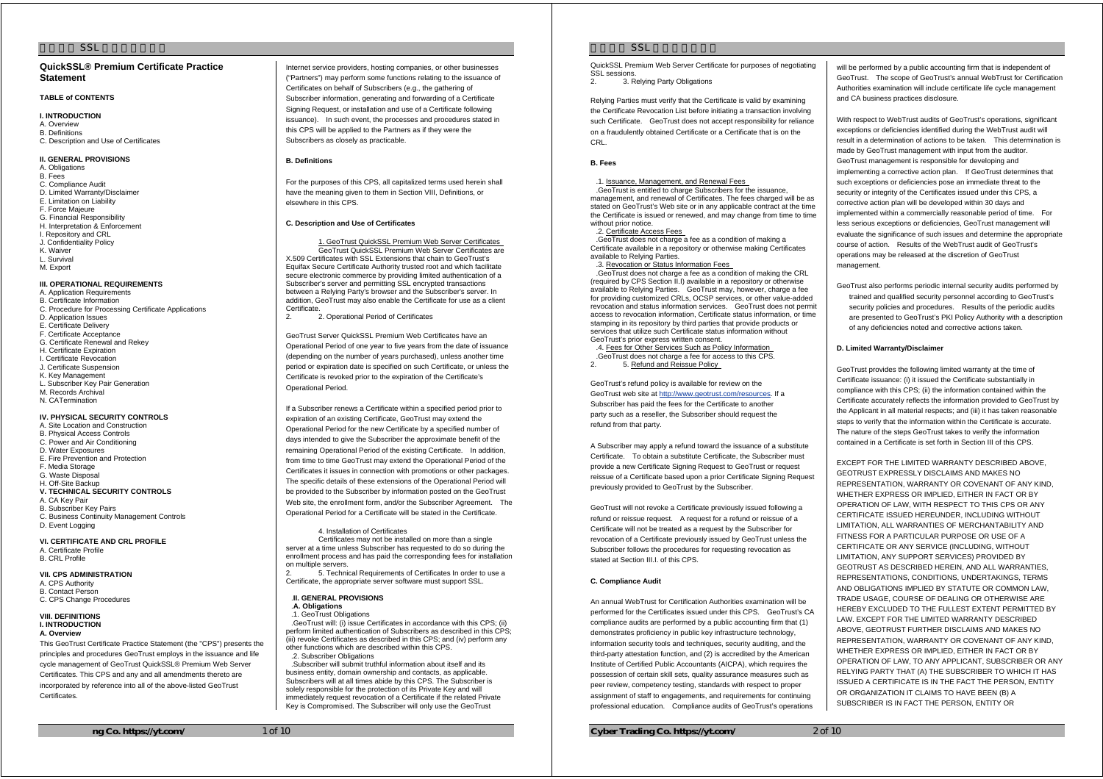# **QuickSSL® Premium Certificate Practice Statement**

# **TABLE of CONTENTS**

**I. INTRODUCTION**  A. Overview B. Definitions C. Description and Use of Certificates

### **II. GENERAL PROVISIONS**

A. Obligations B. Fees C. Compliance Audit D. Limited Warranty/Disclaimer E. Limitation on Liability F. Force Majeure G. Financial Responsibility H. Interpretation & Enforcement I. Repository and CRL J. Confidentiality Policy K. Waiver L. Survival M. Export

# **III. OPERATIONAL REQUIREMENTS**

A. Application Requirements B. Certificate Information C. Procedure for Proce ssing Certificate Applications D. Application Issues E. Certificate Delivery F. Certificate Acceptance G. Certificate Renewal and Rekey H. Certificate Expiration I. Certificate Revocation J. Certificate Suspension K. Key Management L. Subscriber Key Pair Generation M. Records Archival N. CATermination

# **IV. PHYSICAL SECURITY CONTROLS**

A. Site Location and Construction B. Physical Access Controls C. Power and Air Conditioning D. Water Exposures E. Fire Prevention and Protection F. Media Storage G. Waste Disposal H. Off-Site Backup **V. TECHNICAL SECURITY CONTROLS**  A. CA Key Pair B. Subscriber Key Pairs C. Business Continuity Management Controls

D. Event Logging **VI. CERTIFICATE AND CRL PROFILE**  A. Certificate Pr ofile B. CRL Profile

#### **VII. CPS ADMINISTRATION**

A. CPS Authority B. Contact Person C. CPS Change Procedures

### **VIII. DEFINITIONS I. INTRODUCTION A. Overview**

This GeoTrust Certificate Practice Statement (the "CPS") presents the principles and procedures GeoTrust employs in the issuance and life cycle management of GeoTrust QuickSSL® Premium Web Server Certificates. This CPS and any and all amendments thereto are incorporated by reference into all of the above-listed GeoTrust **Certificates** 

Internet service providers, hosting companies, or other businesses ("Partners") may perform some functions relating to the issuance of Certificates on behalf of Subscribers (e.g., the gathering of Subscriber information, generating and forwarding of a Certificate Signing Request, or installation and use of a Certificate following issuance). In such event, the processes and procedures stated in this CPS will be applied to the Partners as if they were the Subscribers as closely as practicable.

### **B. Definitions**

For the purposes of this CPS, all capitalized terms used herein shall have the meaning given to them in Section VIII, Definitions, or elsewhere in this CPS.

#### **C. Description and Use of Certificates**

 1. GeoTrust QuickSSL Premium Web Server Certificates GeoTrust QuickSSL Premium Web Server Certificates are X.509 Certificates with SSL Extensions that chain to GeoTrust's Equifax Secure Certificate Authority trusted root and which facilitate secure electronic commerce by providing limited authentication of a Subscriber's server and permitting SSL encrypted transactions between a Relying Party's browser and the Subscriber's server. In addition, GeoTrust may also enable the Certificate for use as a client Certificate.

2. 2. Operational Period of Certificates

GeoTrust Server QuickSSL Premium Web Certificates have an Operational Period of one year to five years from the date of issuance (depending on the number of years purchased), unless another time period or expiration date is specified on such Certificate, or unless the Certificate is revoked prior to the expiration of the Certificate's Operational Period.

If a Subscriber renews a Certificate within a specified period prior to expiration of an existing Certificate, GeoTrust may extend the Operational Period for the new Certificate by a specified number of days intended to give the Subscriber the approximate benefit of the remaining Operational Period of the existing Certificate. In addition, from time to time GeoTrust may extend the Operational Period of the Certificates it issues in connection with promotions or other packages. The specific details of these extensions of the Operational Period will be provided to the Subscriber by information posted on the GeoTrust Web site, the enrollment form, and/or the Subscriber Agreement. The Operational Period for a Certificate will be stated in the Certificate.

 4. Installation of Certificates Certificates may not be installed on more than a single server at a time unless Subscriber has requested to do so during the enrollment process and has paid the corresponding fees for installation on multiple servers.

2. 5. Technical Requirements of Certificates In order to use a Certificate, the appropriate server software must support SSL.

.**II. GENERAL PROVISIONS**

.**A. Obligations** .1. GeoTrust Oblinations

.GeoTrust will: (i) issue Certificates in accordance with this CPS; (ii) perform limited authentication of Subscribers as described in this CPS; (iii) revoke Certificates as described in this CPS; and (iv) perform any other functions which are described within this CPS. 2. Subscriber Obligations

.Subscriber will submit truthful information about itself and its business entity, domain ownership and contacts, as applicable. Subscribers will at all times abide by this CPS. The Subscriber is solely responsible for the protection of its Private Key and will immediately request revocation of a Certificate if the related Private Key is Compromised. The Subscriber will only use the GeoTrust

# $SSI$

QuickSSL Premium Web Server Certificate for purposes of negotiating SSL sessions.

2. 3. Relying Party Obligations

Relying Parties must verify that the Certificate is valid by examining the Certificate Revocation List before initiating a transaction involving such Certificate. GeoTrust does not accept responsibility for reliance on a fraudulently obtained Certificate or a Certificate that is on the CRL.

# **B. Fees**

### .1. Issuance, Management, and Renewal Fees

.GeoTrust is entitled to charge Subscribers for the issuance, management, and renewal of Certificates. The fees charged will be as stated on GeoTrust's Web site or in any applicable contract at the time the Certificate is issued or renewed, and may change from time to time without prior notice.

.2. Certificate Access Fees

.GeoTrust does not charge a fee as a condition of making a Certificate available in a repository or otherwise making Certificates available to Relying Parties.

.3. Revocation or Status Information Fees .GeoTrust does not charge a fee as a condition of making the CRL (required by CPS Section II.I) available in a repository or otherwise available to Relying Parties. GeoTrust may, however, charge a fee for providing customized CRLs, OCSP services, or other value-added revocation and status information services. GeoTrust does not permit access to revocation information, Certificate status information, or time stamping in its repository by third parties that provide products or services that utilize such Certificate status information without GeoTrust's prior express written consent.

.4. Fees for Other Services Such as Policy Information .GeoTrust does not charge a fee for access to this CPS. 2. 5. Refund and Reissue Policy

GeoTrust's refund policy is available for review on the

GeoTrust web site at http://www.geotrust.com/resources. If a Subscriber has paid the fees for the Certificate to another party such as a reseller, the Subscriber should request the refund from that party.

A Subscriber may apply a refund toward the issuance of a substitute Certificate. To obtain a substitute Certificate, the Subscriber must provide a new Certificate Signing Request to GeoTrust or request reissue of a Certificate based upon a prior Certificate Signing Request previously provided to GeoTrust by the Subscriber.

GeoTrust will not revoke a Certificate previously issued following a refund or reissue request. A request for a refund or reissue of a Certificate will not be treated as a request by the Subscriber for revocation of a Certificate previously issued by GeoTrust unless the Subscriber follows the procedures for requesting revocation as stated at Section III.L. of this CPS.

### **C. Compliance Audit**

An annual WebTrust for Certification Authorities examination will be performed for the Certificates issued under this CPS. GeoTrust's CA compliance audits are performed by a public accounting firm that (1) demonstrates proficiency in public key infrastructure technology, information security tools and techniques, security auditing, and the third-party attestation function, and (2) is accredited by the American Institute of Certified Public Accountants (AICPA), which requires the possession of certain skill sets, quality assurance measures such as peer review, competency testing, standards with respect to proper assignment of staff to engagements, and requirements for continuing professional education. Compliance audits of GeoTrust's operations

**Cyber Trading Co. https://yt.com/** 2 of 10

will be performed by a public accounting firm that is independent of GeoTrust. The scope of GeoTrust's annual WebTrust for Certification Authorities examination will include certificate life cycle management and CA business practices disclosure.

With respect to WebTrust audits of GeoTrust's operations, significant exceptions or deficiencies identified during the WebTrust audit will result in a determination of actions to be taken. This determination is made by GeoTrust management with input from the auditor. GeoTrust management is responsible for developing and implementing a corrective action plan. If GeoTrust determines that such exceptions or deficiencies pose an immediate threat to the security or integrity of the Certificates issued under this CPS, a corrective action plan will be developed within 30 days and implemented within a commercially reasonable period of time. For less serious exceptions or deficiencies, GeoTrust management will evaluate the significance of such issues and determine the appropriate course of action. Results of the WebTrust audit of GeoTrust's operations may be released at the discretion of GeoTrust management

GeoTrust also performs periodic internal security audits performed by trained and qualified security personnel according to GeoTrust's security policies and procedures. Results of the periodic audits are presented to GeoTrust's PKI Policy Authority with a description of any deficiencies noted and corrective actions taken.

### **D. Limited Warranty/Disclaimer**

GeoTrust provides the following limited warranty at the time of Certificate issuance: (i) it issued the Certificate substantially in compliance with this CPS; (ii) the information contained within the Certificate accurately reflects the information provided to GeoTrust by the Applicant in all material respects; and (iii) it has taken reasonable steps to verify that the information within the Certificate is accurate. The nature of the steps GeoTrust takes to verify the information contained in a Certificate is set forth in Section III of this CPS.

EXCEPT FOR THE LIMITED WARRANTY DESCRIBED ABOVE, GEOTRUST EXPRESSLY DISCLAIMS AND MAKES NO REPRESENTATION, WARRANTY OR COVENANT OF ANY KIND, WHETHER EXPRESS OR IMPLIED, EITHER IN FACT OR BY OPERATION OF LAW, WITH RESPECT TO THIS CPS OR ANY CERTIFICATE ISSUED HEREUNDER, INCLUDING WITHOUT LIMITATION, ALL WARRANTIES OF MERCHANTABILITY AND FITNESS FOR A PARTICULAR PURPOSE OR USE OF A CERTIFICATE OR ANY SERVICE (INCLUDING, WITHOUT LIMITATION, ANY SUPPORT SERVICES) PROVIDED BY GEOTRUST AS DESCRIBED HEREIN, AND ALL WARRANTIES, REPRESENTATIONS, CONDITIONS, UNDERTAKINGS, TERMS AND OBLIGATIONS IMPLIED BY STATUTE OR COMMON LAW, TRADE USAGE, COURSE OF DEALING OR OTHERWISE ARE HEREBY EXCLUDED TO THE FULLEST EXTENT PERMITTED BY LAW. EXCEPT FOR THE LIMITED WARRANTY DESCRIBED ABOVE, GEOTRUST FURTHER DISCLAIMS AND MAKES NO REPRESENTATION, WARRANTY OR COVENANT OF ANY KIND, WHETHER EXPRESS OR IMPLIED, EITHER IN FACT OR BY OPERATION OF LAW, TO ANY APPLICANT, SUBSCRIBER OR ANY RELYING PARTY THAT (A) THE SUBSCRIBER TO WHICH IT HAS ISSUED A CERTIFICATE IS IN THE FACT THE PERSON, ENTITY OR ORGANIZATION IT CLAIMS TO HAVE BEEN (B) A SUBSCRIBER IS IN FACT THE PERSON, ENTITY OR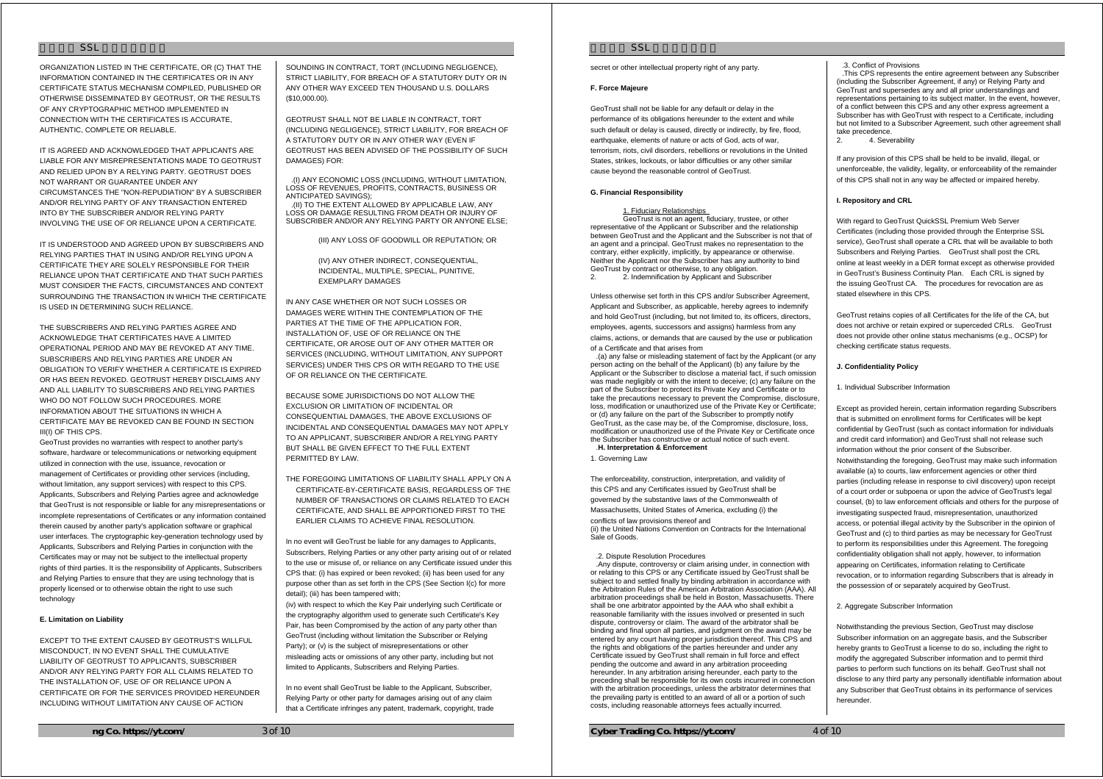ORGANIZATION LISTED IN THE CERTIFICATE, OR (C) THAT THE INFORMATION CONTAINED IN THE CERTIFICATES OR IN ANY CERTIFICATE STATUS MECHANISM COMPILED, PUBLISHED OR OTHERWISE DISSEMINATED BY GEOTRUST, OR THE RESULTS OF ANY CRYPTOGRAPHIC METHOD IMPLEMENTED IN CONNECTION WITH THE CERTIFICATES IS ACCURATE, AUTHENTIC, COMPLETE OR RELIABLE.

IT IS AGREED AND ACKNOWLEDGED THAT APPLICANTS ARE LIABLE FOR ANY MISREPRESENTATIONS MADE TO GEOTRUST AND RELIED UPON BY A RELYING PARTY. GEOTRUST DOES NOT WARRANT OR GUARANTEE UNDER ANY CIRCUMSTANCES THE "NON-REPUDIATION" BY A SUBSCRIBER AND/OR RELYING PARTY OF ANY TRANSACTION ENTERED INTO BY THE SUBSCRIBER AND/OR RELYING PARTY INVOLVING THE USE OF OR RELIANCE UPON A CERTIFICATE.

IT IS UNDERSTOOD AND AGREED UPON BY SUBSCRIBERS AND RELYING PARTIES THAT IN USING AND/OR RELYING UPON A CERTIFICATE THEY ARE SOLELY RESPONSIBLE FOR THEIR RELIANCE UPON THAT CERTIFICATE AND THAT SUCH PARTIES MUST CONSIDER THE FACTS, CIRCUMSTANCES AND CONTEXT SURROUNDING THE TRANSACTION IN WHICH THE CERTIFICATE IS USED IN DETERMINING SUCH RELIANCE.

THE SUBSCRIBERS AND RELYING PARTIES AGREE AND ACKNOWLEDGE THAT CERTIFICATES HAVE A LIMITED OPERATIONAL PERIOD AND MAY BE REVOKED AT ANY TIME. SUBSCRIBERS AND RELYING PARTIES ARE UNDER AN OBLIGATION TO VERIFY WHETHER A CERTIFICATE IS EXPIRED OR HAS BEEN REVOKED. GEOTRUST HEREBY DISCLAIMS ANY AND ALL LIABILITY TO SUBSCRIBERS AND RELYING PARTIES WHO DO NOT FOLLOW SUCH PROCEDURES. MORE INFORMATION ABOUT THE SITUATIONS IN WHICH A CERTIFICATE MAY BE REVOKED CAN BE FOUND IN SECTION III(I) OF THIS CPS.

GeoTrust provides no warranties with respect to another party's software, hardware or telecommunications or networking equipment utilized in connection with the use, issuance, revocation or management of Certificates or providing other services (including, without limitation, any support services) with respect to this CPS. Applicants, Subscribers and Relying Parties agree and acknowledge that GeoTrust is not responsible or liable for any misrepresentations or incomplete representations of Certificates or any information contained therein caused by another party's application software or graphical user interfaces. The cryptographic key-generation technology used by Applicants, Subscribers and Relying Parties in conjunction with the Certificates may or may not be subject to the intellectual property rights of third parties. It is the responsibility of Applicants, Subscribers and Relying Parties to ensure that they are using technology that is properly licensed or to otherwise obtain the right to use such technology

### **E. Limitation on Liability**

EXCEPT TO THE EXTENT CAUSED BY GEOTRUST'S WILLFUL MISCONDUCT, IN NO EVENT SHALL THE CUMULATIVE LIABILITY OF GEOTRUST TO APPLICANTS, SUBSCRIBER AND/OR ANY RELYING PARTY FOR ALL CLAIMS RELATED TO THE INSTALLATION OF, USE OF OR RELIANCE UPON A CERTIFICATE OR FOR THE SERVICES PROVIDED HEREUNDER INCLUDING WITHOUT LIMITATION ANY CAUSE OF ACTION

SOUNDING IN CONTRACT, TORT (INCLUDING NEGLIGENCE) STRICT LIABILITY, FOR BREACH OF A STATUTORY DUTY OR IN ANY OTHER WAY EXCEED TEN THOUSAND U.S. DOLLARS (\$10,000.00).

GEOTRUST SHALL NOT BE LIABLE IN CONTRACT, TORT (INCLUDING NEGLIGENCE), STRICT LIABILITY, FOR BREACH OF A STATUTORY DUTY OR IN ANY OTHER WAY (EVEN IF GEOTRUST HAS BEEN ADVISED OF THE POSSIBILITY OF SUCH DAMAGES) FOR:

.(I) ANY ECONOMIC LOSS (INCLUDING, WITHOUT LIMITATION, LOSS OF REVENUES, PROFITS, CONTRACTS, BUSINESS OR ANTICIPATED SAVINGS); .(II) TO THE EXTENT ALLOWED BY APPLICABLE LAW, ANY LOSS OR DAMAGE RESULTING FROM DEATH OR INJURY OF

SUBSCRIBER AND/OR ANY RELYING PARTY OR ANYONE ELSE;

(III) ANY LOSS OF GOODWILL OR REPUTATION; OR

(IV) ANY OTHER INDIRECT, CONSEQUENTIAL INCIDENTAL, MULTIPLE, SPECIAL, PUNITIVE, EXEMPLARY DAMAGES

IN ANY CASE WHETHER OR NOT SUCH LOSSES OR DAMAGES WERE WITHIN THE CONTEMPLATION OF THE PARTIES AT THE TIME OF THE APPLICATION FOR, INSTALLATION OF, USE OF OR RELIANCE ON THE CERTIFICATE, OR AROSE OUT OF ANY OTHER MATTER OR SERVICES (INCLUDING, WITHOUT LIMITATION, ANY SUPPORT SERVICES) UNDER THIS CPS OR WITH REGARD TO THE USE OF OR RELIANCE ON THE CERTIFICATE.

BECAUSE SOME JURISDICTIONS DO NOT ALLOW THE EXCLUSION OR LIMITATION OF INCIDENTAL OR CONSEQUENTIAL DAMAGES, THE ABOVE EXCLUSIONS OF INCIDENTAL AND CONSEQUENTIAL DAMAGES MAY NOT APPLY TO AN APPLICANT, SUBSCRIBER AND/OR A RELYING PARTY BUT SHALL BE GIVEN EFFECT TO THE FULL EXTENT PERMITTED BY LAW.

THE FOREGOING LIMITATIONS OF LIABILITY SHALL APPLY ON A CERTIFICATE-BY-CERTIFICATE BASIS, REGARDLESS OF THE NUMBER OF TRANSACTIONS OR CLAIMS RELATED TO EACH CERTIFICATE, AND SHALL BE APPORTIONED FIRST TO THE EARLIER CLAIMS TO ACHIEVE FINAL RESOLUTION.

In no event will GeoTrust be liable for any damages to Applicants, Subscribers, Relying Parties or any other party arising out of or related to the use or misuse of, or reliance on any Certificate issued under this CPS that: (i) has expired or been revoked; (ii) has been used for any purpose other than as set forth in the CPS (See Section I(c) for more detail); (iii) has been tampered with;

(iv) with respect to which the Key Pair underlying such Certificate or the cryptography algorithm used to generate such Certificate's Key Pair, has been Compromised by the action of any party other than GeoTrust (including without limitation the Subscriber or Relying Party); or (v) is the subject of misrepresentations or other misleading acts or omissions of any other party, including but not limited to Applicants, Subscribers and Relying Parties.

In no event shall GeoTrust be liable to the Applicant, Subscriber, Relying Party or other party for damages arising out of any claim that a Certificate infringes any patent, trademark, copyright, trade

# $SSI$

secret or other intellectual property right of any party.

#### **F. Force Majeure**

GeoTrust shall not be liable for any default or delay in the performance of its obligations hereunder to the extent and while such default or delay is caused, directly or indirectly, by fire, flood, earthquake, elements of nature or acts of God, acts of war, terrorism, riots, civil disorders, rebellions or revolutions in the United States, strikes, lockouts, or labor difficulties or any other similar cause beyond the reasonable control of GeoTrust.

#### **G. Financial Responsibility**

#### 1. Fiduciary Relationships

GeoTrust is not an agent, fiduciary, trustee, or other representative of the Applicant or Subscriber and the relationship between GeoTrust and the Applicant and the Subscriber is not that of an agent and a principal. GeoTrust makes no representation to the contrary, either explicitly, implicitly, by appearance or otherwise. Neither the Applicant nor the Subscriber has any authority to bind GeoTrust by contract or otherwise, to any obligation. 2. Indemnification by Applicant and Subscriber

Unless otherwise set forth in this CPS and/or Subscriber Agreement, Applicant and Subscriber, as applicable, hereby agrees to indemnify and hold GeoTrust (including, but not limited to, its officers, directors, employees, agents, successors and assigns) harmless from any claims, actions, or demands that are caused by the use or publication of a Certificate and that arises from

.(a) any false or misleading statement of fact by the Applicant (or any person acting on the behalf of the Applicant) (b) any failure by the Applicant or the Subscriber to disclose a material fact, if such omission was made negligibly or with the intent to deceive; (c) any failure on the part of the Subscriber to protect its Private Key and Certificate or to take the precautions necessary to prevent the Compromise, disclosure, loss, modification or unauthorized use of the Private Key or Certificate; or (d) any failure on the part of the Subscriber to promptly notify GeoTrust, as the case may be, of the Compromise, disclosure, loss, modification or unauthorized use of the Private Key or Certificate once the Subscriber has constructive or actual notice of such event. .**H. Interpretation & Enforcement** 

1. Governing Law

The enforceability, construction, interpretation, and validity of this CPS and any Certificates issued by GeoTrust shall be governed by the substantive laws of the Commonwealth of Massachusetts, United States of America, excluding (i) the conflicts of law provisions thereof and (ii) the United Nations Convention on Contracts for the International Sale of Goods.

### .2. Dispute Resolution Procedures

.Any dispute, controversy or claim arising under, in connection with or relating to this CPS or any Certificate issued by GeoTrust shall be subject to and settled finally by binding arbitration in accordance with the Arbitration Rules of the American Arbitration Association (AAA). All arbitration proceedings shall be held in Boston, Massachusetts. There shall be one arbitrator appointed by the AAA who shall exhibit a reasonable familiarity with the issues involved or presented in such dispute, controversy or claim. The award of the arbitrator shall be binding and final upon all parties, and judgment on the award may be entered by any court having proper jurisdiction thereof. This CPS and the rights and obligations of the parties hereunder and under any Certificate issued by GeoTrust shall remain in full force and effect pending the outcome and award in any arbitration proceeding hereunder. In any arbitration arising hereunder, each party to the preceding shall be responsible for its own costs incurred in connection with the arbitration proceedings, unless the arbitrator determines that the prevailing party is entitled to an award of all or a portion of such costs, including reasonable attorneys fees actually incurred.

**Cyber Trading Co. https://yt.com/** 4 of 10

.3. Conflict of Provisions .This CPS represents the entire agreement between any Subscriber (including the Subscriber Agreement, if any) or Relying Party and GeoTrust and supersedes any and all prior understandings and representations pertaining to its subject matter. In the event, however, of a conflict between this CPS and any other express agreement a Subscriber has with GeoTrust with respect to a Certificate, including but not limited to a Subscriber Agreement, such other agreement shall

take precedence. 2. 4. Severability

If any provision of this CPS shall be held to be invalid, illegal, or unenforceable, the validity, legality, or enforceability of the remainder of this CPS shall not in any way be affected or impaired hereby.

#### **I. Repository and CRL**

With regard to GeoTrust QuickSSL Premium Web Server Certificates (including those provided through the Enterprise SSL service), GeoTrust shall operate a CRL that will be available to both Subscribers and Relying Parties. GeoTrust shall post the CRL online at least weekly in a DER format except as otherwise provided in GeoTrust's Business Continuity Plan. Each CRL is signed by the issuing GeoTrust CA. The procedures for revocation are as stated elsewhere in this CPS.

GeoTrust retains copies of all Certificates for the life of the CA, but does not archive or retain expired or superceded CRLs. GeoTrust does not provide other online status mechanisms (e.g., OCSP) for checking certificate status requests.

### **J. Confidentiality Policy**

1. Individual Subscriber Information

Except as provided herein, certain information regarding Subscribers that is submitted on enrollment forms for Certificates will be kept confidential by GeoTrust (such as contact information for individuals and credit card information) and GeoTrust shall not release such information without the prior consent of the Subscriber. Notwithstanding the foregoing, GeoTrust may make such information available (a) to courts, law enforcement agencies or other third parties (including release in response to civil discovery) upon receipt of a court order or subpoena or upon the advice of GeoTrust's legal counsel, (b) to law enforcement officials and others for the purpose of investigating suspected fraud, misrepresentation, unauthorized access, or potential illegal activity by the Subscriber in the opinion of GeoTrust and (c) to third parties as may be necessary for GeoTrust to perform its responsibilities under this Agreement. The foregoing confidentiality obligation shall not apply, however, to information appearing on Certificates, information relating to Certificate revocation, or to information regarding Subscribers that is already in the possession of or separately acquired by GeoTrust.

#### 2. Aggregate Subscriber Information

Notwithstanding the previous Section, GeoTrust may disclose Subscriber information on an aggregate basis, and the Subscriber hereby grants to GeoTrust a license to do so, including the right to modify the aggregated Subscriber information and to permit third parties to perform such functions on its behalf. GeoTrust shall not disclose to any third party any personally identifiable information about any Subscriber that GeoTrust obtains in its performance of services hereunder.

**ng Co. https://yt.com/** 3 of 10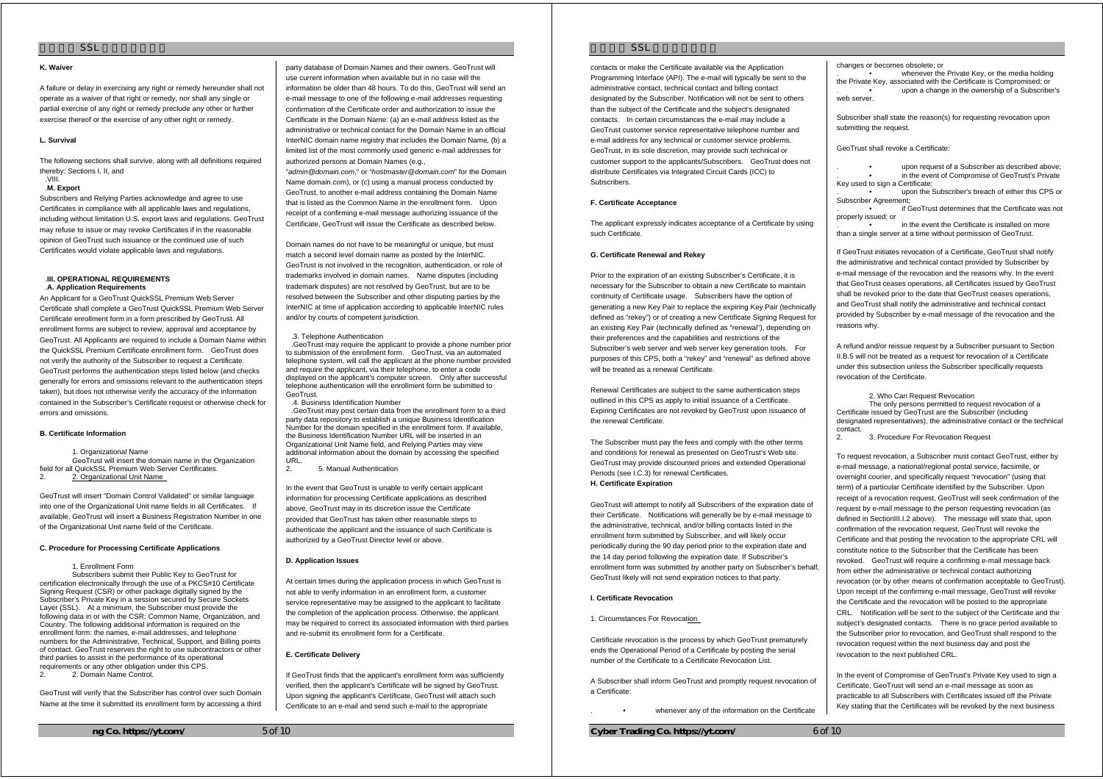#### **K. Waiver**

A failure or delay in exercising any right or remedy hereunder shall not operate as a waiver of that right or remedy, nor shall any single or partial exercise of any right or remedy preclude any other or further exercise thereof or the exercise of any other right or remedy.

### **L. Survival**

The following sections shall survive, along with all definitions required thereby: Sections I, II, and .VIII.

#### .**M. Export**

Subscribers and Relying Parties acknowledge and agree to use Certificates in compliance with all applicable laws and regulations, including without limitation U.S. export laws and regulations. GeoTrust may refuse to issue or may revoke Certificates if in the reasonable opinion of GeoTrust such issuance or the continued use of such Certificates would violate applicable laws and regulations.

### .**III. OPERATIONAL REQUIREMENTS**  .**A. Application Requirements**

An Applicant for a GeoTrust QuickSSL Premium Web Server Certificate shall complete a GeoTrust QuickSSL Premium Web Server Certificate enrollment form in a form prescribed by GeoTrust. All enrollment forms are subject to review, approval and acceptance by GeoTrust. All Applicants are required to include a Domain Name within the QuickSSL Premium Certificate enrollment form. GeoTrust does not verify the authority of the Subscriber to request a Certificate. GeoTrust performs the authentication steps listed below (and checks generally for errors and omissions relevant to the authentication steps taken), but does not otherwise verify the accuracy of the information contained in the Subscriber's Certificate request or otherwise check for errors and omissions.

### **B. Certificate Information**

 1. Organizational Name GeoTrust will insert the domain name in the Organization field for all QuickSSL Premium Web Server Certificates. 2. 2. Organizational Unit Name

GeoTrust will insert "Domain Control Validated" or similar language into one of the Organizational Unit name fields in all Certificates. If available, GeoTrust will insert a Business Registration Number in one of the Organizational Unit name field of the Certificate.

#### **C. Procedure for Processing Certificate Applications**

### 1. Enrollment Form

 Subscribers submit their Public Key to GeoTrust for certification electronically through the use of a PKCS#10 Certificate Signing Request (CSR) or other package digitally signed by the Subscriber's Private Key in a session secured by Secure Sockets Layer (SSL). At a minimum, the Subscriber must provide the following data in or with the CSR: Common Name, Organization, and Country. The following additional information is required on the enrollment form: the names, e-mail addresses, and telephone numbers for the Administrative, Technical, Support, and Billing points of contact. GeoTrust reserves the right to use subcontractors or other third parties to assist in the performance of its operational requirements or any other obligation under this CPS.

2. 2. Domain Name Control.

GeoTrust will verify that the Subscriber has control over such Domain Name at the time it submitted its enrollment form by accessing a third

party database of Domain Names and their owners. GeoTrust will use current information when available but in no case will the information be older than 48 hours. To do this, GeoTrust will send an e-mail message to one of the following e-mail addresses requesting confirmation of the Certificate order and authorization to issue the Certificate in the Domain Name: (a) an e-mail address listed as the administrative or technical contact for the Domain Name in an official InterNIC domain name registry that includes the Domain Name, (b) a limited list of the most commonly used generic e-mail addresses for authorized persons at Domain Names (e.g.,

"*admin@domain.com*," or "*hostmaster@domain.com*" for the Domain Name domain.com), or (c) using a manual process conducted by GeoTrust, to another e-mail address containing the Domain Name that is listed as the Common Name in the enrollment form. Upon receipt of a confirming e-mail message authorizing issuance of the Certificate, GeoTrust will issue the Certificate as described below.

Domain names do not have to be meaningful or unique, but must match a second level domain name as posted by the InterNIC. GeoTrust is not involved in the recognition, authentication, or role of trademarks involved in domain names. Name disputes (including trademark disputes) are not resolved by GeoTrust, but are to be resolved between the Subscriber and other disputing parties by the InterNIC at time of application according to applicable InterNIC rules and/or by courts of competent jurisdiction.

#### .3. Telephone Authentication

.GeoTrust may require the applicant to provide a phone number prior to submission of the enrollment form. GeoTrust, via an automated telephone system, will call the applicant at the phone number provided and require the applicant, via their telephone, to enter a code displayed on the applicant's computer screen. Only after successful telephone authentication will the enrollment form be submitted to GeoTrust.

.4. Business Identification Number .GeoTrust may post certain data from the enrollment form to a third party data repository to establish a unique Business Identification Number for the domain specified in the enrollment form. If available, the Business Identification Number URL will be inserted in an Organizational Unit Name field, and Relying Parties may view additional information about the domain by accessing the specified

2. 5. Manual Authentication

In the event that GeoTrust is unable to verify certain applicant information for processing Certificate applications as described above, GeoTrust may in its discretion issue the Certificate provided that GeoTrust has taken other reasonable steps to authenticate the applicant and the issuance of such Certificate is authorized by a GeoTrust Director level or above.

### **D. Application Issues**

URL.

At certain times during the application process in which GeoTrust is not able to verify information in an enrollment form, a customer service representative may be assigned to the applicant to facilitate the completion of the application process. Otherwise, the applicant may be required to correct its associated information with third parties and re-submit its enrollment form for a Certificate.

# **E. Certificate Delivery**

If GeoTrust finds that the applicant's enrollment form was sufficiently verified, then the applicant's Certificate will be signed by GeoTrust. Upon signing the applicant's Certificate, GeoTrust will attach such Certificate to an e-mail and send such e-mail to the appropriate

# $SSI$

contacts or make the Certificate available via the Application Programming Interface (API). The e-mail will typically be sent to the administrative contact, technical contact and billing contact designated by the Subscriber. Notification will not be sent to others than the subject of the Certificate and the subject's designated contacts. In certain circumstances the e-mail may include a GeoTrust customer service representative telephone number and e-mail address for any technical or customer service problems. GeoTrust, in its sole discretion, may provide such technical or customer support to the applicants/Subscribers. GeoTrust does not distribute Certificates via Integrated Circuit Cards (ICC) to Subscribers.

### **F. Certificate Acceptance**

The applicant expressly indicates acceptance of a Certificate by using such Certificate.

### **G. Certificate Renewal and Rekey**

Prior to the expiration of an existing Subscriber's Certificate, it is necessary for the Subscriber to obtain a new Certificate to maintain continuity of Certificate usage. Subscribers have the option of generating a new Key Pair to replace the expiring Key Pair (technically defined as "rekey") or of creating a new Certificate Signing Request for an existing Key Pair (technically defined as "renewal"), depending on their preferences and the capabilities and restrictions of the Subscriber's web server and web server key generation tools. For purposes of this CPS, both a "rekey" and "renewal" as defined above will be treated as a renewal Certificate.

Renewal Certificates are subject to the same authentication steps outlined in this CPS as apply to initial issuance of a Certificate. Expiring Certificates are not revoked by GeoTrust upon issuance of the renewal Certificate.

The Subscriber must pay the fees and comply with the other terms and conditions for renewal as presented on GeoTrust's Web site. GeoTrust may provide discounted prices and extended Operational Periods (see I.C.3) for renewal Certificates. **H. Certificate Expiration** 

GeoTrust will attempt to notify all Subscribers of the expiration date of their Certificate. Notifications will generally be by e-mail message to the administrative, technical, and/or billing contacts listed in the enrollment form submitted by Subscriber, and will likely occur periodically during the 90 day period prior to the expiration date and the 14 day period following the expiration date. If Subscriber's enrollment form was submitted by another party on Subscriber's behalf, GeoTrust likely will not send expiration notices to that party.

#### **I. Certificate Revocation**

1. Circumstances For Revocation

Certificate revocation is the process by which GeoTrust prematurely ends the Operational Period of a Certificate by posting the serial number of the Certificate to a Certificate Revocation List.

A Subscriber shall inform GeoTrust and promptly request revocation of a Certificate:

whenever any of the information on the Certificate

**Cyber Trading Co. https://yt.com/** 6 of 10

changes or becomes obsolete; or

whenever the Private Key, or the media holding the Private Key, associated with the Certificate is Compromised; or . • upon a change in the ownership of a Subscriber's web conver

Subscriber shall state the reason(s) for requesting revocation upon submitting the request.

GeoTrust shall revoke a Certificate:

. • upon request of a Subscriber as described above; . • in the event of Compromise of GeoTrust's Private

Key used to sign a Certificate; . • upon the Subscriber's breach of either this CPS or Subscriber Agreement;

. • if GeoTrust determines that the Certificate was not properly issued; or

. • in the event the Certificate is installed on more than a single server at a time without permission of GeoTrust.

If GeoTrust initiates revocation of a Certificate, GeoTrust shall notify the administrative and technical contact provided by Subscriber by e-mail message of the revocation and the reasons why. In the event that GeoTrust ceases operations, all Certificates issued by GeoTrust shall be revoked prior to the date that GeoTrust ceases operations, and GeoTrust shall notify the administrative and technical contact provided by Subscriber by e-mail message of the revocation and the reasons why.

A refund and/or reissue request by a Subscriber pursuant to Section II.B.5 will not be treated as a request for revocation of a Certificate under this subsection unless the Subscriber specifically requests revocation of the Certificate.

 2. Who Can Request Revocation The only persons permitted to request revocation of a Certificate issued by GeoTrust are the Subscriber (including designated representatives), the administrative contact or the technical contact.

2. 3. Procedure For Revocation Request

To request revocation, a Subscriber must contact GeoTrust, either by e-mail message, a national/regional postal service, facsimile, or overnight courier, and specifically request "revocation" (using that term) of a particular Certificate identified by the Subscriber. Upon receipt of a revocation request, GeoTrust will seek confirmation of the request by e-mail message to the person requesting revocation (as defined in SectionIII.I.2 above). The message will state that, upon confirmation of the revocation request, GeoTrust will revoke the Certificate and that posting the revocation to the appropriate CRL will constitute notice to the Subscriber that the Certificate has been revoked. GeoTrust will require a confirming e-mail message back from either the administrative or technical contact authorizing revocation (or by other means of confirmation acceptable to GeoTrust). Upon receipt of the confirming e-mail message, GeoTrust will revoke the Certificate and the revocation will be posted to the appropriate CRL. Notification will be sent to the subject of the Certificate and the subject's designated contacts. There is no grace period available to the Subscriber prior to revocation, and GeoTrust shall respond to the revocation request within the next business day and post the revocation to the next published CRL.

In the event of Compromise of GeoTrust's Private Key used to sign a Certificate, GeoTrust will send an e-mail message as soon as practicable to all Subscribers with Certificates issued off the Private Key stating that the Certificates will be revoked by the next business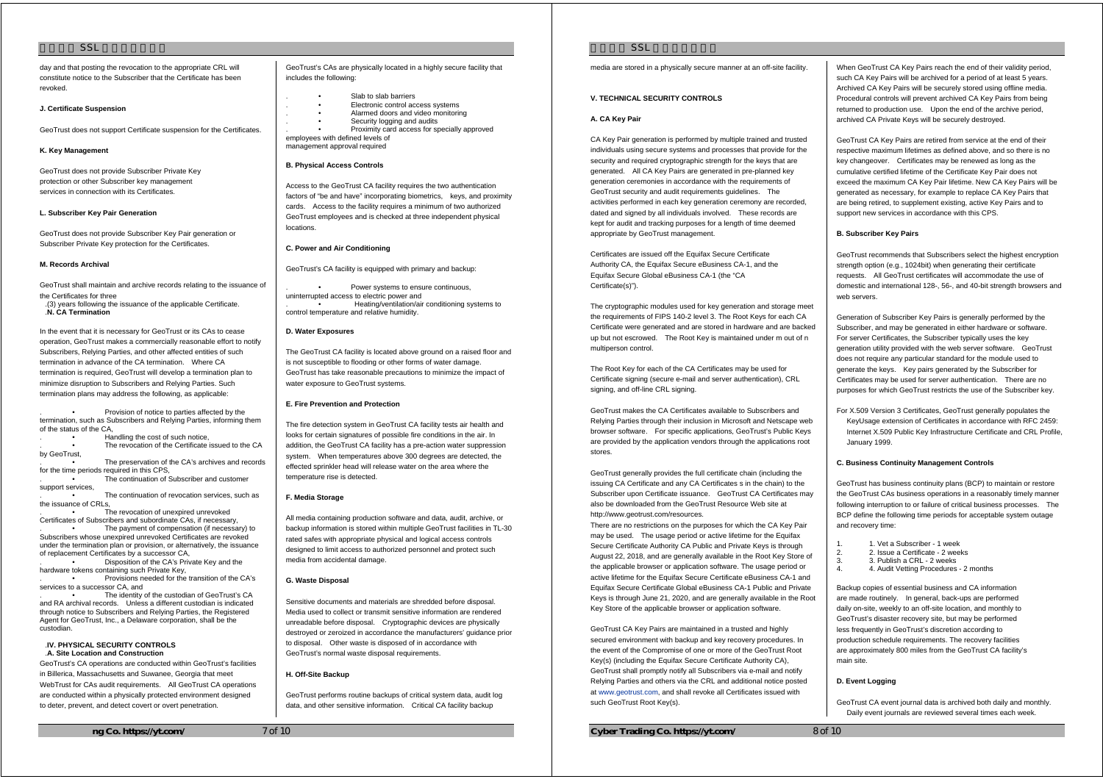day and that posting the revocation to the appropriate CRL will constitute notice to the Subscriber that the Certificate has been revoked.

#### **J. Certificate Suspension**

GeoTrust does not support Certificate suspension for the Certificates.

### **K. Key Management**

GeoTrust does not provide Subscriber Private Key protection or other Subscriber key management services in connection with its Certificates.

### **L. Subscriber Key Pair Generation**

GeoTrust does not provide Subscriber Key Pair generation or Subscriber Private Key protection for the Certificates.

### **M. Records Archival**

GeoTrust shall maintain and archive records relating to the issuance of the Certificates for three

.(3) years following the issuance of the applicable Certificate. .**N. CA Termination** 

In the event that it is necessary for GeoTrust or its CAs to cease operation, GeoTrust makes a commercially reasonable effort to notify Subscribers, Relying Parties, and other affected entities of such termination in advance of the CA termination. Where CA termination is required, GeoTrust will develop a termination plan to minimize disruption to Subscribers and Relying Parties. Such termination plans may address the following, as applicable:

Provision of notice to parties affected by the termination, such as Subscribers and Relying Parties, informing them of the status of the CA,

. • Handling the cost of such notice, The revocation of the Certificate issued to the CA

by GeoTrust, The preservation of the CA's archives and records for the time periods required in this CPS,

The continuation of Subscriber and customer support services,

The continuation of revocation services, such as the issuance of CRLs,

The revocation of unexpired unrevoked Certificates of Subscribers and subordinate CAs, if necessary,

The payment of compensation (if necessary) to Subscribers whose unexpired unrevoked Certificates are revoked under the termination plan or provision, or alternatively, the issuance of replacement Certificates by a successor CA,

Disposition of the CA's Private Key and the hardware tokens containing such Private Key,

. • Provisions needed for the transition of the CA's services to a successor CA, and

The identity of the custodian of GeoTrust's CA and RA archival records. Unless a different custodian is indicated through notice to Subscribers and Relying Parties, the Registered Agent for GeoTrust, Inc., a Delaware corporation, shall be the custodian.

#### .**IV. PHYSICAL SECURITY CONTROLS** .**A. Site Location and Construction**

GeoTrust's CA operations are conducted within GeoTrust's facilities in Billerica, Massachusetts and Suwanee, Georgia that meet WebTrust for CAs audit requirements. All GeoTrust CA operations are conducted within a physically protected environment designed to deter, prevent, and detect covert or overt penetration.

GeoTrust's CAs are physically located in a highly secure facility that includes the following:

- Slab to slab barriers
- . Electronic control access systems
- . Alarmed doors and video monitoring
- Security logging and audits Proximity card access for specially approved

employees with defined levels of management approval required

# **B. Physical Access Controls**

Access to the GeoTrust CA facility requires the two authentication factors of "be and have" incorporating biometrics, keys, and proximity cards. Access to the facility requires a minimum of two authorized GeoTrust employees and is checked at three independent physical locations.

### **C. Power and Air Conditioning**

GeoTrust's CA facility is equipped with primary and backup:

Power systems to ensure continuous, uninterrupted access to electric power and . • Heating/ventilation/air conditioning systems to control temperature and relative humidity.

# **D. Water Exposures**

The GeoTrust CA facility is located above ground on a raised floor and is not susceptible to flooding or other forms of water damage. GeoTrust has take reasonable precautions to minimize the impact of water exposure to GeoTrust systems.

# **E. Fire Prevention and Protection**

The fire detection system in GeoTrust CA facility tests air health and looks for certain signatures of possible fire conditions in the air. In addition, the GeoTrust CA facility has a pre-action water suppression system. When temperatures above 300 degrees are detected, the effected sprinkler head will release water on the area where the temperature rise is detected.

#### **F. Media Storage**

All media containing production software and data, audit, archive, or backup information is stored within multiple GeoTrust facilities in TL-30 rated safes with appropriate physical and logical access controls designed to limit access to authorized personnel and protect such media from accidental damage.

### **G. Waste Disposal**

Sensitive documents and materials are shredded before disposal. Media used to collect or transmit sensitive information are rendered unreadable before disposal. Cryptographic devices are physically destroyed or zeroized in accordance the manufacturers' guidance prior to disposal. Other waste is disposed of in accordance with GeoTrust's normal waste disposal requirements.

### **H. Off-Site Backup**

GeoTrust performs routine backups of critical system data, audit log data, and other sensitive information. Critical CA facility backup

 $SSI$ 

media are stored in a physically secure manner at an off-site facility.

# **V. TECHNICAL SECURITY CONTROLS**

### **A. CA Key Pair**

CA Key Pair generation is performed by multiple trained and trusted individuals using secure systems and processes that provide for the security and required cryptographic strength for the keys that are generated. All CA Key Pairs are generated in pre-planned key generation ceremonies in accordance with the requirements of GeoTrust security and audit requirements guidelines. The activities performed in each key generation ceremony are recorded, dated and signed by all individuals involved. These records are kept for audit and tracking purposes for a length of time deemed appropriate by GeoTrust management.

Certificates are issued off the Equifax Secure Certificate Authority CA, the Equifax Secure eBusiness CA-1, and the Equifax Secure Global eBusiness CA-1 (the "CA Certificate(s)").

The cryptographic modules used for key generation and storage meet the requirements of FIPS 140-2 level 3. The Root Keys for each CA Certificate were generated and are stored in hardware and are backed up but not escrowed. The Root Key is maintained under m out of n multiperson control.

The Root Key for each of the CA Certificates may be used for Certificate signing (secure e-mail and server authentication), CRL signing, and off-line CRL signing.

GeoTrust makes the CA Certificates available to Subscribers and Relying Parties through their inclusion in Microsoft and Netscape web browser software. For specific applications, GeoTrust's Public Keys are provided by the application vendors through the applications root stores.

GeoTrust generally provides the full certificate chain (including the issuing CA Certificate and any CA Certificates s in the chain) to the Subscriber upon Certificate issuance. GeoTrust CA Certificates may also be downloaded from the GeoTrust Resource Web site at http://www.geotrust.com/resources.

There are no restrictions on the purposes for which the CA Key Pair may be used. The usage period or active lifetime for the Equifax Secure Certificate Authority CA Public and Private Keys is through August 22, 2018, and are generally available in the Root Key Store of the applicable browser or application software. The usage period or active lifetime for the Equifax Secure Certificate eBusiness CA-1 and Equifax Secure Certificate Global eBusiness CA-1 Public and Private Keys is through June 21, 2020, and are generally available in the Root Key Store of the applicable browser or application software.

GeoTrust CA Key Pairs are maintained in a trusted and highly secured environment with backup and key recovery procedures. In the event of the Compromise of one or more of the GeoTrust Root Key(s) (including the Equifax Secure Certificate Authority CA), GeoTrust shall promptly notify all Subscribers via e-mail and notify Relying Parties and others via the CRL and additional notice posted at www.geotrust.com, and shall revoke all Certificates issued with such GeoTrust Root Key(s).

**Cyber Trading Co. https://yt.com/** 8 of 10

When GeoTrust CA Key Pairs reach the end of their validity period, such CA Key Pairs will be archived for a period of at least 5 years. Archived CA Key Pairs will be securely stored using offline media. Procedural controls will prevent archived CA Key Pairs from being returned to production use. Upon the end of the archive period, archived CA Private Keys will be securely destroyed.

GeoTrust CA Key Pairs are retired from service at the end of their respective maximum lifetimes as defined above, and so there is no key changeover. Certificates may be renewed as long as the cumulative certified lifetime of the Certificate Key Pair does not exceed the maximum CA Key Pair lifetime. New CA Key Pairs will be generated as necessary, for example to replace CA Key Pairs that are being retired, to supplement existing, active Key Pairs and to support new services in accordance with this CPS.

# **B. Subscriber Key Pairs**

GeoTrust recommends that Subscribers select the highest encryption strength option (e.g., 1024bit) when generating their certificate requests. All GeoTrust certificates will accommodate the use of domestic and international 128-, 56-, and 40-bit strength browsers and web servers.

Generation of Subscriber Key Pairs is generally performed by the Subscriber, and may be generated in either hardware or software. For server Certificates, the Subscriber typically uses the key generation utility provided with the web server software. GeoTrust does not require any particular standard for the module used to generate the keys. Key pairs generated by the Subscriber for Certificates may be used for server authentication. There are no purposes for which GeoTrust restricts the use of the Subscriber key.

For X.509 Version 3 Certificates, GeoTrust generally populates the KeyUsage extension of Certificates in accordance with RFC 2459: Internet X.509 Public Key Infrastructure Certificate and CRL Profile, January 1999.

### **C. Business Continuity Management Controls**

GeoTrust has business continuity plans (BCP) to maintain or restore the GeoTrust CAs business operations in a reasonably timely manner following interruption to or failure of critical business processes. The BCP define the following time periods for acceptable system outage and recovery time:

- 1. 1. Vet a Subscriber 1 week
- 2. 2. Issue a Certificate 2 weeks
- 3. 3. Publish a CRL 2 weeks
	- 4. 4. Audit Vetting Procedures 2 months

Backup copies of essential business and CA information are made routinely. In general, back-ups are performed daily on-site, weekly to an off-site location, and monthly to GeoTrust's disaster recovery site, but may be performed less frequently in GeoTrust's discretion according to production schedule requirements. The recovery facilities are approximately 800 miles from the GeoTrust CA facility's main site.

## **D. Event Logging**

GeoTrust CA event journal data is archived both daily and monthly. Daily event journals are reviewed several times each week.

**ng Co. https://yt.com/** 7 of 10